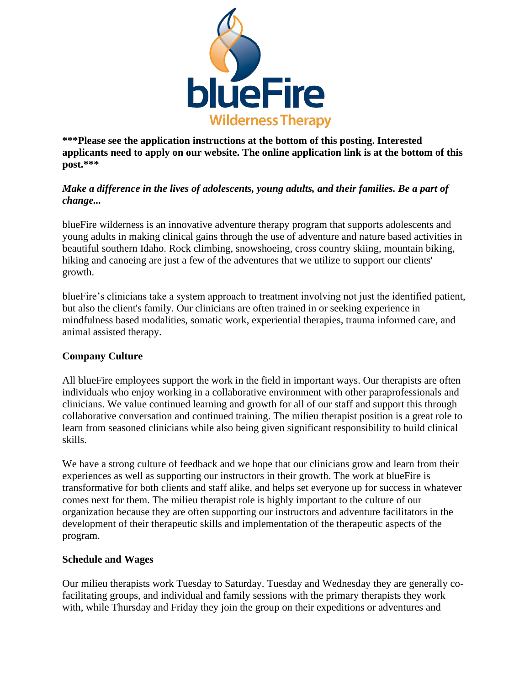

**\*\*\*Please see the application instructions at the bottom of this posting. Interested applicants need to apply on our website. The online application link is at the bottom of this post.\*\*\***

# *Make a difference in the lives of adolescents, young adults, and their families. Be a part of change...*

blueFire wilderness is an innovative adventure therapy program that supports adolescents and young adults in making clinical gains through the use of adventure and nature based activities in beautiful southern Idaho. Rock climbing, snowshoeing, cross country skiing, mountain biking, hiking and canoeing are just a few of the adventures that we utilize to support our clients' growth.

blueFire's clinicians take a system approach to treatment involving not just the identified patient, but also the client's family. Our clinicians are often trained in or seeking experience in mindfulness based modalities, somatic work, experiential therapies, trauma informed care, and animal assisted therapy.

# **Company Culture**

All blueFire employees support the work in the field in important ways. Our therapists are often individuals who enjoy working in a collaborative environment with other paraprofessionals and clinicians. We value continued learning and growth for all of our staff and support this through collaborative conversation and continued training. The milieu therapist position is a great role to learn from seasoned clinicians while also being given significant responsibility to build clinical skills.

We have a strong culture of feedback and we hope that our clinicians grow and learn from their experiences as well as supporting our instructors in their growth. The work at blueFire is transformative for both clients and staff alike, and helps set everyone up for success in whatever comes next for them. The milieu therapist role is highly important to the culture of our organization because they are often supporting our instructors and adventure facilitators in the development of their therapeutic skills and implementation of the therapeutic aspects of the program.

## **Schedule and Wages**

Our milieu therapists work Tuesday to Saturday. Tuesday and Wednesday they are generally cofacilitating groups, and individual and family sessions with the primary therapists they work with, while Thursday and Friday they join the group on their expeditions or adventures and